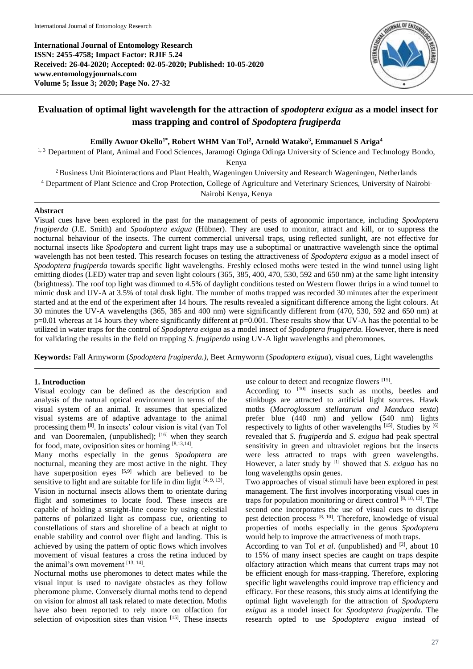**International Journal of Entomology Research ISSN: 2455-4758; Impact Factor: RJIF 5.24 Received: 26-04-2020; Accepted: 02-05-2020; Published: 10-05-2020 www.entomologyjournals.com Volume 5; Issue 3; 2020; Page No. 27-32**



# **Evaluation of optimal light wavelength for the attraction of** *spodoptera exigua* **as a model insect for mass trapping and control of** *Spodoptera frugiperda*

**Emilly Awuor Okello1\*, Robert WHM Van Tol<sup>2</sup> , Arnold Watako<sup>3</sup> , Emmanuel S Ariga<sup>4</sup>**

<sup>1, 3</sup> Department of Plant, Animal and Food Sciences, Jaramogi Oginga Odinga University of Science and Technology Bondo,

Kenya

<sup>2</sup> Business Unit Biointeractions and Plant Health, Wageningen University and Research Wageningen, Netherlands <sup>4</sup> Department of Plant Science and Crop Protection, College of Agriculture and Veterinary Sciences, University of Nairobi, Nairobi Kenya, Kenya

### **Abstract**

Visual cues have been explored in the past for the management of pests of agronomic importance, including *Spodoptera frugiperda* (J.E. Smith) and *Spodoptera exigua* (Hübner). They are used to monitor, attract and kill, or to suppress the nocturnal behaviour of the insects. The current commercial universal traps, using reflected sunlight, are not effective for nocturnal insects like *Spodoptera* and current light traps may use a suboptimal or unattractive wavelength since the optimal wavelength has not been tested. This research focuses on testing the attractiveness of *Spodoptera exigua* as a model insect of *Spodoptera frugiperda* towards specific light wavelengths. Freshly eclosed moths were tested in the wind tunnel using light emitting diodes (LED) water trap and seven light colours (365, 385, 400, 470, 530, 592 and 650 nm) at the same light intensity (brightness). The roof top light was dimmed to 4.5% of daylight conditions tested on Western flower thrips in a wind tunnel to mimic dusk and UV-A at 3.5% of total dusk light. The number of moths trapped was recorded 30 minutes after the experiment started and at the end of the experiment after 14 hours. The results revealed a significant difference among the light colours. At 30 minutes the UV-A wavelengths (365, 385 and 400 nm) were significantly different from (470, 530, 592 and 650 nm) at  $p=0.01$  whereas at 14 hours they where significantly different at  $p=0.001$ . These results show that UV-A has the potential to be utilized in water traps for the control of *Spodoptera exigua* as a model insect of *Spodoptera frugiperda.* However, there is need for validating the results in the field on trapping *S. frugiperda* using UV-A light wavelengths and pheromones.

**Keywords:** Fall Armyworm (*Spodoptera frugiperda.)*, Beet Armyworm (*Spodoptera exigua*), visual cues, Light wavelengths

### **1. Introduction**

Visual ecology can be defined as the description and analysis of the natural optical environment in terms of the visual system of an animal. It assumes that specialized visual systems are of adaptive advantage to the animal processing them [8]. In insects' colour vision is vital (van Tol and van Dooremalen, (unpublished); [16] when they search for food, mate, oviposition sites or homing [8,13,14].

Many moths especially in the genus *Spodoptera* are nocturnal, meaning they are most active in the night. They have superposition eyes [5,9] which are believed to be sensitive to light and are suitable for life in dim light  $[4, 9, 13]$ . Vision in nocturnal insects allows them to orientate during flight and sometimes to locate food. These insects are capable of holding a straight-line course by using celestial patterns of polarized light as compass cue, orienting to constellations of stars and shoreline of a beach at night to enable stability and control over flight and landing. This is achieved by using the pattern of optic flows which involves movement of visual features a cross the retina induced by the animal's own movement  $^{[13, 14]}$ .

Nocturnal moths use pheromones to detect mates while the visual input is used to navigate obstacles as they follow pheromone plume. Conversely diurnal moths tend to depend on vision for almost all task related to mate detection. Moths have also been reported to rely more on olfaction for selection of oviposition sites than vision [15]. These insects use colour to detect and recognize flowers [15].

According to  $[10]$  insects such as moths, beetles and stinkbugs are attracted to artificial light sources. Hawk moths (*Macroglossum stellatarum and Manduca sexta*) prefer blue (440 nm) and yellow (540 nm) lights respectively to lights of other wavelengths [15]. Studies by [6] revealed that *S. frugiperda* and *S. exigua* had peak spectral sensitivity in green and ultraviolet regions but the insects were less attracted to traps with green wavelengths. However, a later study by [1] showed that *S. exigua* has no long wavelengths opsin genes.

Two approaches of visual stimuli have been explored in pest management. The first involves incorporating visual cues in traps for population monitoring or direct control [8, 10, 12]. The second one incorporates the use of visual cues to disrupt pest detection process [8, 10]. Therefore, knowledge of visual properties of moths especially in the genus *Spodoptera* would help to improve the attractiveness of moth traps.

According to van Tol *et al.* (unpublished) and <sup>[2]</sup>, about 10 to 15% of many insect species are caught on traps despite olfactory attraction which means that current traps may not be efficient enough for mass-trapping. Therefore, exploring specific light wavelengths could improve trap efficiency and efficacy. For these reasons, this study aims at identifying the optimal light wavelength for the attraction of *Spodoptera exigua* as a model insect for *Spodoptera frugiperda.* The research opted to use *Spodoptera exigua* instead of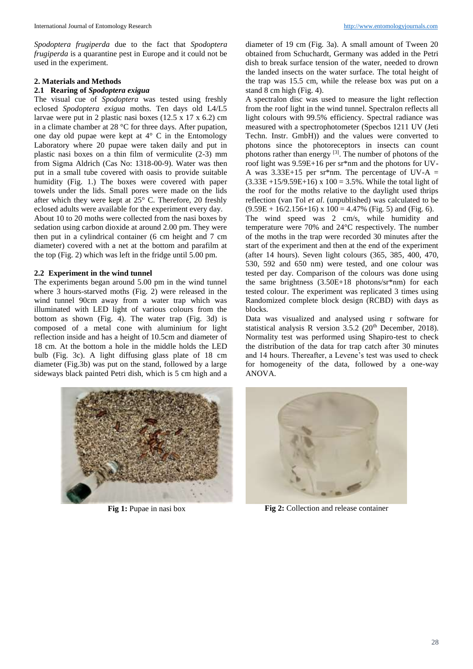*Spodoptera frugiperda* due to the fact that *Spodoptera frugiperda* is a quarantine pest in Europe and it could not be used in the experiment.

### **2. Materials and Methods**

## **2.1 Rearing of** *Spodoptera exigua*

The visual cue of *Spodoptera* was tested using freshly eclosed *Spodoptera exigua* moths. Ten days old L4/L5 larvae were put in 2 plastic nasi boxes (12.5 x 17 x 6.2) cm in a climate chamber at 28 °C for three days. After pupation, one day old pupae were kept at  $4^{\circ}$  C in the Entomology Laboratory where 20 pupae were taken daily and put in plastic nasi boxes on a thin film of vermiculite (2-3) mm from Sigma Aldrich (Cas No: 1318-00-9). Water was then put in a small tube covered with oasis to provide suitable humidity (Fig. 1.) The boxes were covered with paper towels under the lids. Small pores were made on the lids after which they were kept at 25° C. Therefore, 20 freshly eclosed adults were available for the experiment every day.

About 10 to 20 moths were collected from the nasi boxes by sedation using carbon dioxide at around 2.00 pm. They were then put in a cylindrical container (6 cm height and 7 cm diameter) covered with a net at the bottom and parafilm at the top (Fig. 2) which was left in the fridge until 5.00 pm.

## **2.2 Experiment in the wind tunnel**

The experiments began around 5.00 pm in the wind tunnel where 3 hours-starved moths (Fig. 2) were released in the wind tunnel 90cm away from a water trap which was illuminated with LED light of various colours from the bottom as shown (Fig. 4). The water trap (Fig. 3d) is composed of a metal cone with aluminium for light reflection inside and has a height of 10.5cm and diameter of 18 cm. At the bottom a hole in the middle holds the LED bulb (Fig. 3c). A light diffusing glass plate of 18 cm diameter (Fig.3b) was put on the stand, followed by a large sideways black painted Petri dish, which is 5 cm high and a diameter of 19 cm (Fig. 3a). A small amount of Tween 20 obtained from Schuchardt, Germany was added in the Petri dish to break surface tension of the water, needed to drown the landed insects on the water surface. The total height of the trap was 15.5 cm, while the release box was put on a stand 8 cm high (Fig. 4).

A spectralon disc was used to measure the light reflection from the roof light in the wind tunnel. Spectralon reflects all light colours with 99.5% efficiency. Spectral radiance was measured with a spectrophotometer (Specbos 1211 UV (Jeti Techn. Instr. GmbH)) and the values were converted to photons since the photoreceptors in insects can count photons rather than energy  $[3]$ . The number of photons of the roof light was 9.59E+16 per sr\*nm and the photons for UV-A was  $3.33E+15$  per sr\*nm. The percentage of UV-A =  $(3.33E + 15/9.59E + 16)$  x  $100 = 3.5%$ . While the total light of the roof for the moths relative to the daylight used thrips reflection (van Tol *et al*. (unpublished) was calculated to be  $(9.59E + 16/2.156+16)$  x  $100 = 4.47\%$  (Fig. 5) and (Fig. 6). The wind speed was 2 cm/s, while humidity and temperature were 70% and 24°C respectively. The number

of the moths in the trap were recorded 30 minutes after the start of the experiment and then at the end of the experiment (after 14 hours). Seven light colours (365, 385, 400, 470, 530, 592 and 650 nm) were tested, and one colour was tested per day. Comparison of the colours was done using the same brightness (3.50E+18 photons/sr\*nm) for each tested colour. The experiment was replicated 3 times using Randomized complete block design (RCBD) with days as blocks.

Data was visualized and analysed using r software for statistical analysis R version  $3.5.2$  ( $20<sup>th</sup>$  December, 2018). Normality test was performed using Shapiro-test to check the distribution of the data for trap catch after 30 minutes and 14 hours. Thereafter, a Levene's test was used to check for homogeneity of the data, followed by a one-way ANOVA.





**Fig 1:** Pupae in nasi box **Fig 2:** Collection and release container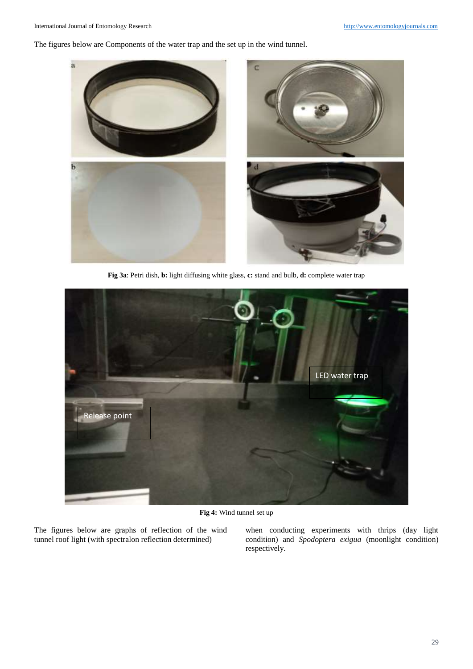The figures below are Components of the water trap and the set up in the wind tunnel.



**Fig 3a**: Petri dish, **b:** light diffusing white glass, **c:** stand and bulb, **d:** complete water trap



**Fig 4:** Wind tunnel set up

The figures below are graphs of reflection of the wind tunnel roof light (with spectralon reflection determined)

when conducting experiments with thrips (day light condition) and *Spodoptera exigua* (moonlight condition) respectively.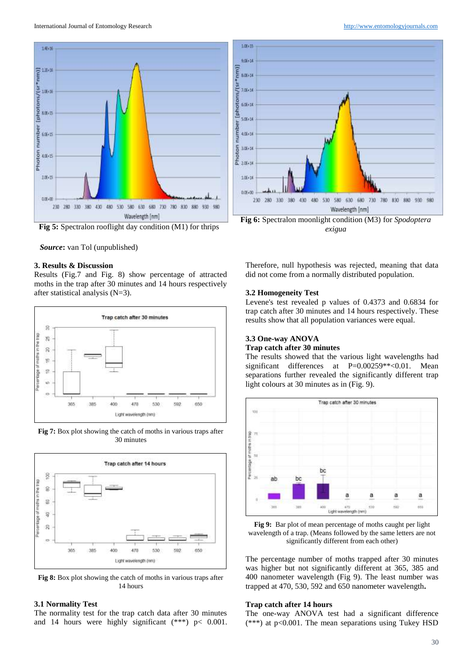



#### **3. Results & Discussion**

Results (Fig.7 and Fig. 8) show percentage of attracted moths in the trap after 30 minutes and 14 hours respectively after statistical analysis (N=3).



**Fig 7:** Box plot showing the catch of moths in various traps after 30 minutes



**Fig 8:** Box plot showing the catch of moths in various traps after 14 hours

#### **3.1 Normality Test**

The normality test for the trap catch data after 30 minutes and 14 hours were highly significant (\*\*\*) p< 0.001.



Therefore, null hypothesis was rejected, meaning that data did not come from a normally distributed population.

#### **3.2 Homogeneity Test**

Levene's test revealed p values of 0.4373 and 0.6834 for trap catch after 30 minutes and 14 hours respectively. These results show that all population variances were equal.

### **3.3 One-way ANOVA Trap catch after 30 minutes**

The results showed that the various light wavelengths had significant differences at P=0.00259\*\*<0.01. Mean separations further revealed the significantly different trap light colours at 30 minutes as in (Fig. 9).



**Fig 9:** Bar plot of mean percentage of moths caught per light wavelength of a trap. (Means followed by the same letters are not significantly different from each other)

The percentage number of moths trapped after 30 minutes was higher but not significantly different at 365, 385 and 400 nanometer wavelength (Fig 9). The least number was trapped at 470, 530, 592 and 650 nanometer wavelength**.**

#### **Trap catch after 14 hours**

The one-way ANOVA test had a significant difference (\*\*\*) at p<0.001. The mean separations using Tukey HSD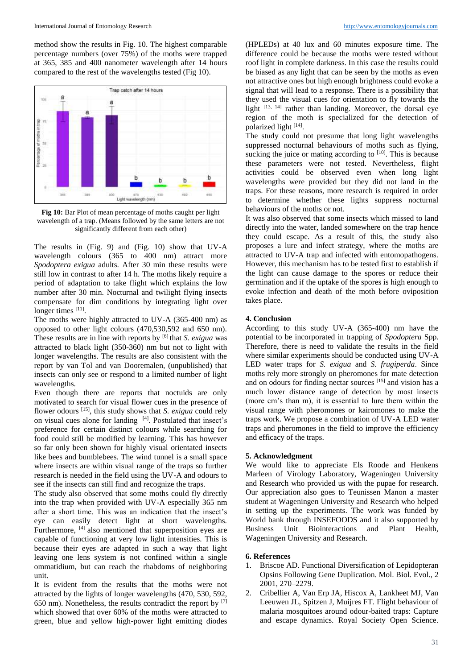method show the results in Fig. 10. The highest comparable percentage numbers (over 75%) of the moths were trapped at 365, 385 and 400 nanometer wavelength after 14 hours compared to the rest of the wavelengths tested (Fig 10).



**Fig 10:** Bar Plot of mean percentage of moths caught per light wavelength of a trap. (Means followed by the same letters are not significantly different from each other)

The results in (Fig. 9) and (Fig. 10) show that UV-A wavelength colours (365 to 400 nm) attract more *Spodoptera exigua* adults. After 30 min these results were still low in contrast to after 14 h. The moths likely require a period of adaptation to take flight which explains the low number after 30 min. Nocturnal and twilight flying insects compensate for dim conditions by integrating light over longer times [11].

The moths were highly attracted to UV-A (365-400 nm) as opposed to other light colours (470,530,592 and 650 nm). These results are in line with reports by [6] that *S. exigua* was attracted to black light (350-360) nm but not to light with longer wavelengths. The results are also consistent with the report by van Tol and van Dooremalen, (unpublished) that insects can only see or respond to a limited number of light wavelengths.

Even though there are reports that noctuids are only motivated to search for visual flower cues in the presence of flower odours [15], this study shows that *S. exigua* could rely on visual cues alone for landing <sup>[4]</sup>. Postulated that insect's preference for certain distinct colours while searching for food could still be modified by learning. This has however so far only been shown for highly visual orientated insects like bees and bumblebees. The wind tunnel is a small space where insects are within visual range of the traps so further research is needed in the field using the UV-A and odours to see if the insects can still find and recognize the traps.

The study also observed that some moths could fly directly into the trap when provided with UV-A especially 365 nm after a short time. This was an indication that the insect's eye can easily detect light at short wavelengths. Furthermore, <sup>[4]</sup> also mentioned that superposition eyes are capable of functioning at very low light intensities. This is because their eyes are adapted in such a way that light leaving one lens system is not confined within a single ommatidium, but can reach the rhabdoms of neighboring unit.

It is evident from the results that the moths were not attracted by the lights of longer wavelengths (470, 530, 592, 650 nm). Nonetheless, the results contradict the report by [7] which showed that over 60% of the moths were attracted to green, blue and yellow high-power light emitting diodes

(HPLEDs) at 40 lux and 60 minutes exposure time. The difference could be because the moths were tested without roof light in complete darkness. In this case the results could be biased as any light that can be seen by the moths as even not attractive ones but high enough brightness could evoke a signal that will lead to a response. There is a possibility that they used the visual cues for orientation to fly towards the light [13, 14] rather than landing. Moreover, the dorsal eye region of the moth is specialized for the detection of polarized light [14].

The study could not presume that long light wavelengths suppressed nocturnal behaviours of moths such as flying, sucking the juice or mating according to  $[10]$ . This is because these parameters were not tested. Nevertheless, flight activities could be observed even when long light wavelengths were provided but they did not land in the traps. For these reasons, more research is required in order to determine whether these lights suppress nocturnal behaviours of the moths or not.

It was also observed that some insects which missed to land directly into the water, landed somewhere on the trap hence they could escape. As a result of this, the study also proposes a lure and infect strategy, where the moths are attracted to UV-A trap and infected with entomopathogens. However, this mechanism has to be tested first to establish if the light can cause damage to the spores or reduce their germination and if the uptake of the spores is high enough to evoke infection and death of the moth before oviposition takes place.

### **4. Conclusion**

According to this study UV-A (365-400) nm have the potential to be incorporated in trapping of *Spodoptera* Spp. Therefore, there is need to validate the results in the field where similar experiments should be conducted using UV-A LED water traps for *S. exigua* and *S. frugiperda*. Since moths rely more strongly on pheromones for mate detection and on odours for finding nectar sources [15] and vision has a much lower distance range of detection by most insects (more cm's than m), it is essential to lure them within the visual range with pheromones or kairomones to make the traps work. We propose a combination of UV-A LED water traps and pheromones in the field to improve the efficiency and efficacy of the traps.

### **5. Acknowledgment**

We would like to appreciate Els Roode and Henkens Marleen of Virology Laboratory, Wageningen University and Research who provided us with the pupae for research. Our appreciation also goes to Teunissen Manon a master student at Wageningen University and Research who helped in setting up the experiments. The work was funded by World bank through INSEFOODS and it also supported by Business Unit Biointeractions and Plant Health, Wageningen University and Research.

#### **6. References**

- 1. Briscoe AD. Functional Diversification of Lepidopteran Opsins Following Gene Duplication. Mol. Biol. Evol., 2 2001, 270–2279.
- 2. Cribellier A, Van Erp JA, Hiscox A, Lankheet MJ, Van Leeuwen JL, Spitzen J, Muijres FT. Flight behaviour of malaria mosquitoes around odour-baited traps: Capture and escape dynamics. Royal Society Open Science.